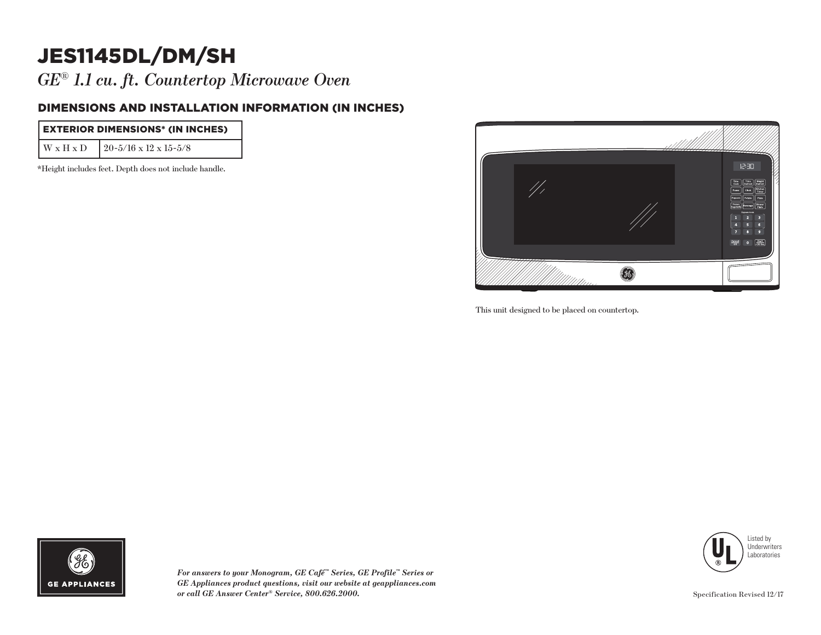## JES1145DL/DM/SH

*GE*® *1.1 cu. ft. Countertop Microwave Oven*

## DIMENSIONS AND INSTALLATION INFORMATION (IN INCHES)

| <b>EXTERIOR DIMENSIONS* (IN INCHES)</b> |                                             |
|-----------------------------------------|---------------------------------------------|
|                                         | $W \times H \times D$ 20-5/16 x 12 x 15-5/8 |

\*Height includes feet. Depth does not include handle.



This unit designed to be placed on countertop.





*For answers to your Monogram, GE Café™ Series, GE Profile™ Series or GE Appliances product questions, visit our website at geappliances.com or call GE Answer Center® Service, 800.626.2000.*

Specification Revised 12/17